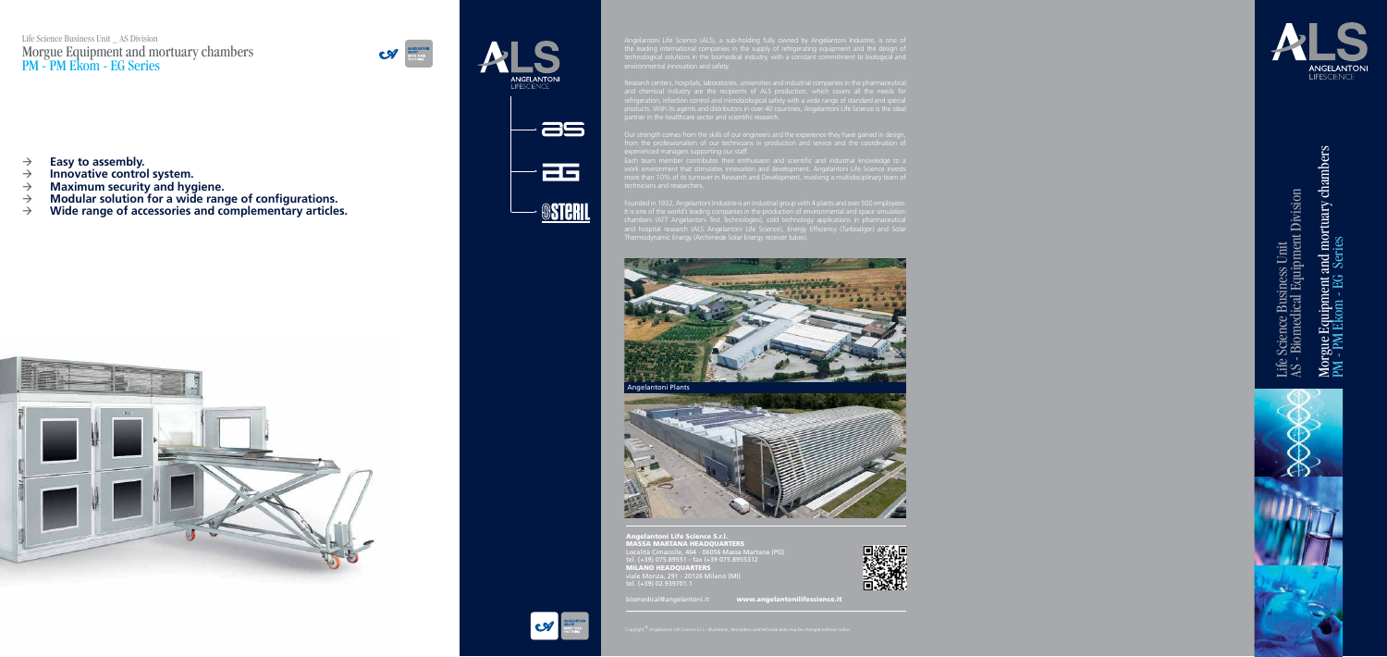# Life Science Business Unit \_ AS Division Morgue Equipment and mortuary chambers PM - PM Ekom - EG Series













Life Science Business Unit<br>AS - Biomedical Equipment Division AS - Biomedical Equipment Division Life Science Business Unit



# Morgue Equipment and mortuary chambers<br>PM - PM Ekom - EG Series Morgue Equipment and mortuary chambers PM - PM Ekom - EG Series

- $\rightarrow$  **Easy to assembly.**
- $\rightarrow$  Innovative control system.
- **Maximum security and hygiene.**
- → Modular solution for a wide range of configurations.<br>→ Wide range of accessories and complementary article
- **Wide range of accessories and complementary articles.**



Angelantoni Life Science (ALS), a sub-holding fully owned by Angelantoni Industrie, is one of

Research centers, hospitals, laboratories, universities and industrial companies in the pharmaceutical products. With its agents and distributors in over 40 countries, Angelantoni Life Science is the ideal

Our strength comes from the skills of our engineers and the experience they have gained in design,

Each team member contributes their enthusiasm and scientific and industrial knowledge to a work environment that stimulates innovation and development. Angelantoni Life Science invests more than 10% of its turnover in Research and Development, involving a multidisciplinary team of

Founded in 1932, Angelantoni Industrie is an industrial group with 4 plants and over 500 employees. It is one of the world's leading companies in the production of environmental and space simulation chambers (ATT Angelantoni Test Technologies), cold technology applications in pharmaceutical and hospital research (ALS Angelantoni Life Science), Energy Efficiency (Turboalgor) and Solar Thermodynamic Energy (Archimede Solar Energy receiver tubes).



Angelantoni Life Science S.r.l. MASSA MARTANA HEADQUARTERS Località Cimacolle, 464 - 06056 Massa Martana (PG) tel. (+39) 075.89551 - fax (+39 075.8955312 MILANO HEADQUARTERS viale Monza, 291 - 20126 Milano (MI) tel. (+39) 02.939701.1



biomedical@angelantoni.it www.angelantonilifescience.it